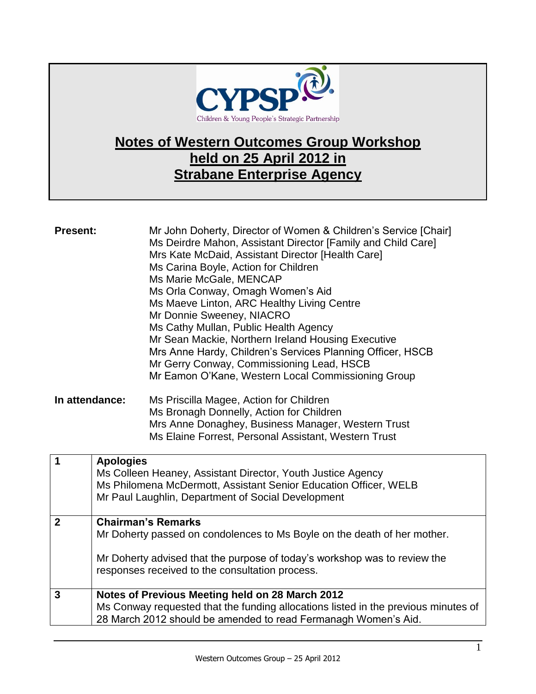

## **Notes of Western Outcomes Group Workshop held on 25 April 2012 in Strabane Enterprise Agency**

| <b>Present:</b><br>In attendance: |                  | Mr John Doherty, Director of Women & Children's Service [Chair]<br>Ms Deirdre Mahon, Assistant Director [Family and Child Care]<br>Mrs Kate McDaid, Assistant Director [Health Care]<br>Ms Carina Boyle, Action for Children<br>Ms Marie McGale, MENCAP<br>Ms Orla Conway, Omagh Women's Aid<br>Ms Maeve Linton, ARC Healthy Living Centre<br>Mr Donnie Sweeney, NIACRO<br>Ms Cathy Mullan, Public Health Agency<br>Mr Sean Mackie, Northern Ireland Housing Executive<br>Mrs Anne Hardy, Children's Services Planning Officer, HSCB<br>Mr Gerry Conway, Commissioning Lead, HSCB<br>Mr Eamon O'Kane, Western Local Commissioning Group<br>Ms Priscilla Magee, Action for Children<br>Ms Bronagh Donnelly, Action for Children<br>Mrs Anne Donaghey, Business Manager, Western Trust<br>Ms Elaine Forrest, Personal Assistant, Western Trust |
|-----------------------------------|------------------|----------------------------------------------------------------------------------------------------------------------------------------------------------------------------------------------------------------------------------------------------------------------------------------------------------------------------------------------------------------------------------------------------------------------------------------------------------------------------------------------------------------------------------------------------------------------------------------------------------------------------------------------------------------------------------------------------------------------------------------------------------------------------------------------------------------------------------------------|
| 1                                 | <b>Apologies</b> | Ms Colleen Heaney, Assistant Director, Youth Justice Agency                                                                                                                                                                                                                                                                                                                                                                                                                                                                                                                                                                                                                                                                                                                                                                                  |
|                                   |                  | Ms Philomena McDermott, Assistant Senior Education Officer, WELB<br>Mr Paul Laughlin, Department of Social Development                                                                                                                                                                                                                                                                                                                                                                                                                                                                                                                                                                                                                                                                                                                       |
| $\overline{2}$                    |                  | <b>Chairman's Remarks</b><br>Mr Doherty passed on condolences to Ms Boyle on the death of her mother.                                                                                                                                                                                                                                                                                                                                                                                                                                                                                                                                                                                                                                                                                                                                        |
|                                   |                  |                                                                                                                                                                                                                                                                                                                                                                                                                                                                                                                                                                                                                                                                                                                                                                                                                                              |
|                                   |                  | Mr Doherty advised that the purpose of today's workshop was to review the<br>responses received to the consultation process.                                                                                                                                                                                                                                                                                                                                                                                                                                                                                                                                                                                                                                                                                                                 |
| $\mathbf{3}$                      |                  | Notes of Previous Meeting held on 28 March 2012<br>Ms Conway requested that the funding allocations listed in the previous minutes of<br>28 March 2012 should be amended to read Fermanagh Women's Aid.                                                                                                                                                                                                                                                                                                                                                                                                                                                                                                                                                                                                                                      |
|                                   |                  |                                                                                                                                                                                                                                                                                                                                                                                                                                                                                                                                                                                                                                                                                                                                                                                                                                              |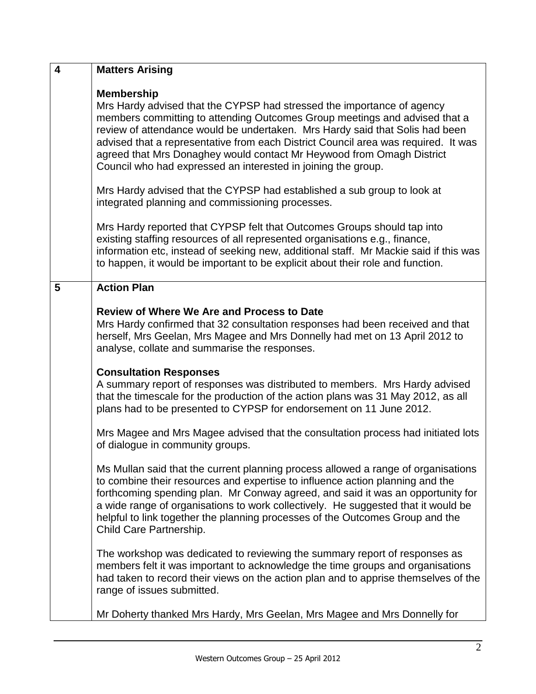| $\boldsymbol{4}$ | <b>Matters Arising</b>                                                                                                                                                                                                                                                                                                                                                                                                                                                                                                                                               |
|------------------|----------------------------------------------------------------------------------------------------------------------------------------------------------------------------------------------------------------------------------------------------------------------------------------------------------------------------------------------------------------------------------------------------------------------------------------------------------------------------------------------------------------------------------------------------------------------|
|                  | <b>Membership</b><br>Mrs Hardy advised that the CYPSP had stressed the importance of agency<br>members committing to attending Outcomes Group meetings and advised that a<br>review of attendance would be undertaken. Mrs Hardy said that Solis had been<br>advised that a representative from each District Council area was required. It was<br>agreed that Mrs Donaghey would contact Mr Heywood from Omagh District<br>Council who had expressed an interested in joining the group.<br>Mrs Hardy advised that the CYPSP had established a sub group to look at |
|                  | integrated planning and commissioning processes.                                                                                                                                                                                                                                                                                                                                                                                                                                                                                                                     |
|                  | Mrs Hardy reported that CYPSP felt that Outcomes Groups should tap into<br>existing staffing resources of all represented organisations e.g., finance,<br>information etc, instead of seeking new, additional staff. Mr Mackie said if this was<br>to happen, it would be important to be explicit about their role and function.                                                                                                                                                                                                                                    |
| 5                | <b>Action Plan</b>                                                                                                                                                                                                                                                                                                                                                                                                                                                                                                                                                   |
|                  | <b>Review of Where We Are and Process to Date</b><br>Mrs Hardy confirmed that 32 consultation responses had been received and that<br>herself, Mrs Geelan, Mrs Magee and Mrs Donnelly had met on 13 April 2012 to<br>analyse, collate and summarise the responses.                                                                                                                                                                                                                                                                                                   |
|                  | <b>Consultation Responses</b><br>A summary report of responses was distributed to members. Mrs Hardy advised<br>that the timescale for the production of the action plans was 31 May 2012, as all<br>plans had to be presented to CYPSP for endorsement on 11 June 2012.                                                                                                                                                                                                                                                                                             |
|                  | Mrs Magee and Mrs Magee advised that the consultation process had initiated lots<br>of dialogue in community groups.                                                                                                                                                                                                                                                                                                                                                                                                                                                 |
|                  | Ms Mullan said that the current planning process allowed a range of organisations<br>to combine their resources and expertise to influence action planning and the<br>forthcoming spending plan. Mr Conway agreed, and said it was an opportunity for<br>a wide range of organisations to work collectively. He suggested that it would be<br>helpful to link together the planning processes of the Outcomes Group and the<br>Child Care Partnership.                                                                                                               |
|                  | The workshop was dedicated to reviewing the summary report of responses as<br>members felt it was important to acknowledge the time groups and organisations<br>had taken to record their views on the action plan and to apprise themselves of the<br>range of issues submitted.                                                                                                                                                                                                                                                                                    |
|                  | Mr Doherty thanked Mrs Hardy, Mrs Geelan, Mrs Magee and Mrs Donnelly for                                                                                                                                                                                                                                                                                                                                                                                                                                                                                             |